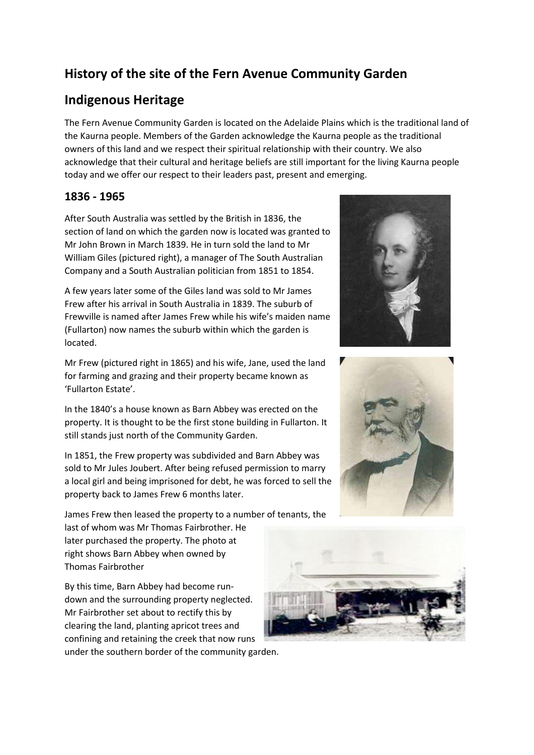# **History of the site of the Fern Avenue Community Garden**

## **Indigenous Heritage**

The Fern Avenue Community Garden is located on the Adelaide Plains which is the traditional land of the Kaurna people. Members of the Garden acknowledge the Kaurna people as the traditional owners of this land and we respect their spiritual relationship with their country. We also acknowledge that their cultural and heritage beliefs are still important for the living Kaurna people today and we offer our respect to their leaders past, present and emerging.

## **1836 - 1965**

After South Australia was settled by the British in 1836, the section of land on which the garden now is located was granted to Mr John Brown in March 1839. He in turn sold the land to Mr William Giles (pictured right), a manager of The South Australian Company and a South Australian politician from 1851 to 1854.

A few years later some of the Giles land was sold to Mr James Frew after his arrival in South Australia in 1839. The suburb of Frewville is named after James Frew while his wife's maiden name (Fullarton) now names the suburb within which the garden is located.

Mr Frew (pictured right in 1865) and his wife, Jane, used the land for farming and grazing and their property became known as 'Fullarton Estate'.

In the 1840's a house known as Barn Abbey was erected on the property. It is thought to be the first stone building in Fullarton. It still stands just north of the Community Garden.

In 1851, the Frew property was subdivided and Barn Abbey was sold to Mr Jules Joubert. After being refused permission to marry a local girl and being imprisoned for debt, he was forced to sell the property back to James Frew 6 months later.

James Frew then leased the property to a number of tenants, the

last of whom was Mr Thomas Fairbrother. He later purchased the property. The photo at right shows Barn Abbey when owned by Thomas Fairbrother

By this time, Barn Abbey had become rundown and the surrounding property neglected. Mr Fairbrother set about to rectify this by clearing the land, planting apricot trees and confining and retaining the creek that now runs under the southern border of the community garden.





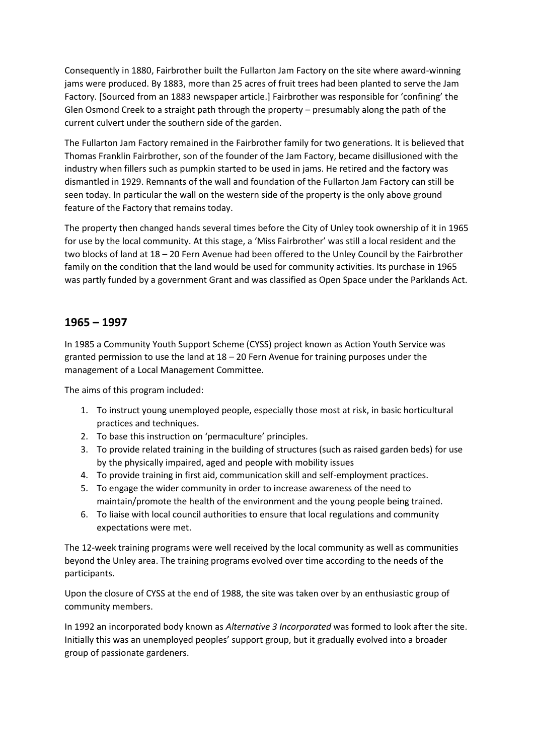Consequently in 1880, Fairbrother built the Fullarton Jam Factory on the site where award-winning jams were produced. By 1883, more than 25 acres of fruit trees had been planted to serve the Jam Factory. [Sourced from an 1883 newspaper article.] Fairbrother was responsible for 'confining' the Glen Osmond Creek to a straight path through the property – presumably along the path of the current culvert under the southern side of the garden.

The Fullarton Jam Factory remained in the Fairbrother family for two generations. It is believed that Thomas Franklin Fairbrother, son of the founder of the Jam Factory, became disillusioned with the industry when fillers such as pumpkin started to be used in jams. He retired and the factory was dismantled in 1929. Remnants of the wall and foundation of the Fullarton Jam Factory can still be seen today. In particular the wall on the western side of the property is the only above ground feature of the Factory that remains today.

The property then changed hands several times before the City of Unley took ownership of it in 1965 for use by the local community. At this stage, a 'Miss Fairbrother' was still a local resident and the two blocks of land at 18 – 20 Fern Avenue had been offered to the Unley Council by the Fairbrother family on the condition that the land would be used for community activities. Its purchase in 1965 was partly funded by a government Grant and was classified as Open Space under the Parklands Act.

#### **1965 – 1997**

In 1985 a Community Youth Support Scheme (CYSS) project known as Action Youth Service was granted permission to use the land at 18 – 20 Fern Avenue for training purposes under the management of a Local Management Committee.

The aims of this program included:

- 1. To instruct young unemployed people, especially those most at risk, in basic horticultural practices and techniques.
- 2. To base this instruction on 'permaculture' principles.
- 3. To provide related training in the building of structures (such as raised garden beds) for use by the physically impaired, aged and people with mobility issues
- 4. To provide training in first aid, communication skill and self-employment practices.
- 5. To engage the wider community in order to increase awareness of the need to maintain/promote the health of the environment and the young people being trained.
- 6. To liaise with local council authorities to ensure that local regulations and community expectations were met.

The 12-week training programs were well received by the local community as well as communities beyond the Unley area. The training programs evolved over time according to the needs of the participants.

Upon the closure of CYSS at the end of 1988, the site was taken over by an enthusiastic group of community members.

In 1992 an incorporated body known as *Alternative 3 Incorporated* was formed to look after the site. Initially this was an unemployed peoples' support group, but it gradually evolved into a broader group of passionate gardeners.